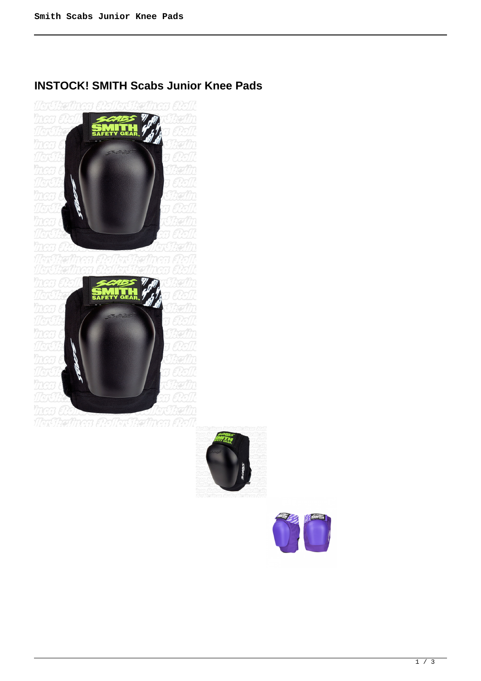# **INSTOCK! SMITH Scabs Junior Knee Pads**







1 / 3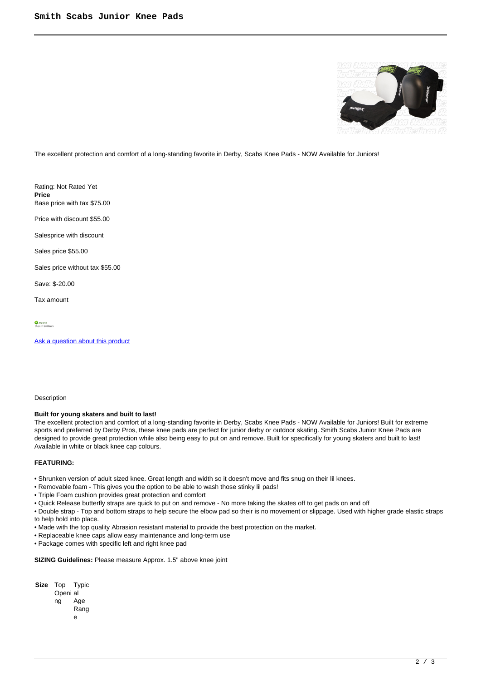

The excellent protection and comfort of a long-standing favorite in Derby, Scabs Knee Pads - NOW Available for Juniors!

Rating: Not Rated Yet **Price**  Base price with tax \$75.00

Price with discount \$55.00

Salesprice with discount

Sales price \$55.00

Sales price without tax \$55.00

Save: \$-20.00

Tax amount

In Stock<br>Shins In: 24 Hours

[Ask a question about this product](https://rollerskatin.ca/index.php?option=com_virtuemart&view=productdetails&task=askquestion&virtuemart_product_id=653&virtuemart_category_id=40&tmpl=component)

### Description

### **Built for young skaters and built to last!**

The excellent protection and comfort of a long-standing favorite in Derby, Scabs Knee Pads - NOW Available for Juniors! Built for extreme sports and preferred by Derby Pros, these knee pads are perfect for junior derby or outdoor skating. Smith Scabs Junior Knee Pads are designed to provide great protection while also being easy to put on and remove. Built for specifically for young skaters and built to last! Available in white or black knee cap colours.

### **FEATURING:**

• Shrunken version of adult sized knee. Great length and width so it doesn't move and fits snug on their lil knees.

- Removable foam This gives you the option to be able to wash those stinky lil pads!
- Triple Foam cushion provides great protection and comfort
- Quick Release butterfly straps are quick to put on and remove No more taking the skates off to get pads on and off

• Double strap - Top and bottom straps to help secure the elbow pad so their is no movement or slippage. Used with higher grade elastic straps to help hold into place.

- Made with the top quality Abrasion resistant material to provide the best protection on the market.
- Replaceable knee caps allow easy maintenance and long-term use
- Package comes with specific left and right knee pad

**SIZING Guidelines:** Please measure Approx. 1.5" above knee joint

- **Size** Top Typic
	- Openi al ng Age
		- Rang
		- e